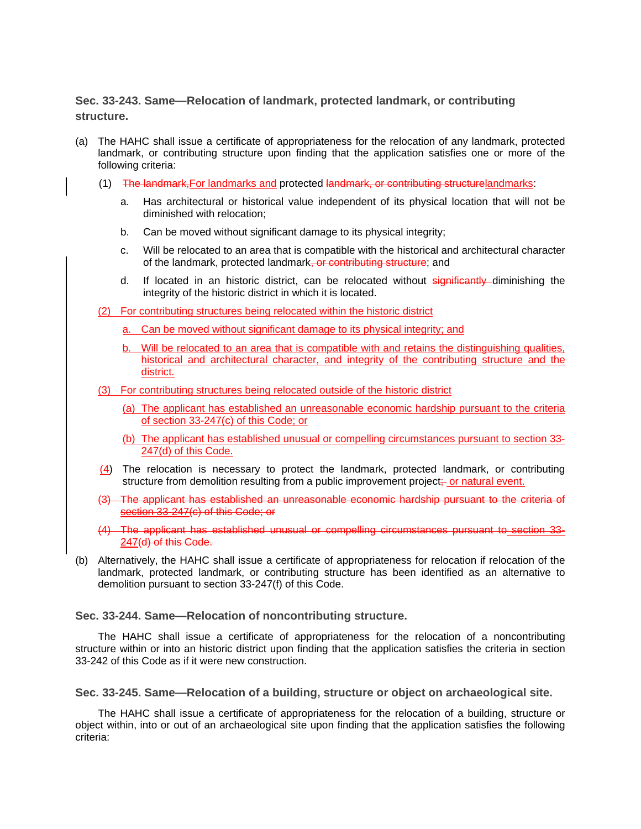## **Sec. 33-243. Same—Relocation of landmark, protected landmark, or contributing structure.**

- (a) The HAHC shall issue a certificate of appropriateness for the relocation of any landmark, protected landmark, or contributing structure upon finding that the application satisfies one or more of the following criteria:
	- (1) The landmark,For landmarks and protected landmark, or contributing structurelandmarks:
		- a. Has architectural or historical value independent of its physical location that will not be diminished with relocation;
		- b. Can be moved without significant damage to its physical integrity;
		- c. Will be relocated to an area that is compatible with the historical and architectural character of the landmark, protected landmark, or contributing structure; and
		- d. If located in an historic district, can be relocated without significantly diminishing the integrity of the historic district in which it is located.
	- (2) For contributing structures being relocated within the historic district
		- a. Can be moved without significant damage to its physical integrity; and
		- b. Will be relocated to an area that is compatible with and retains the distinguishing qualities, historical and architectural character, and integrity of the contributing structure and the district.
	- (3) For contributing structures being relocated outside of the historic district
		- (a) The applicant has established an unreasonable economic hardship pursuant to the criteria of section 33-247(c) of this Code; or
		- (b) The applicant has established unusual or compelling circumstances pursuant to section 33- 247(d) of this Code.
	- (4) The relocation is necessary to protect the landmark, protected landmark, or contributing structure from demolition resulting from a public improvement project; or natural event.
	- (3) The applicant has established an unreasonable economic hardship pursuant to the criteria of section 33-247(c) of this Code; or
	- (4) The applicant has established unusual or compelling circumstances pursuant to section 33- 247(d) of this Code.
- (b) Alternatively, the HAHC shall issue a certificate of appropriateness for relocation if relocation of the landmark, protected landmark, or contributing structure has been identified as an alternative to demolition pursuant to section 33-247(f) of this Code.

**Sec. 33-244. Same—Relocation of noncontributing structure.** 

The HAHC shall issue a certificate of appropriateness for the relocation of a noncontributing structure within or into an historic district upon finding that the application satisfies the criteria in section 33-242 of this Code as if it were new construction.

**Sec. 33-245. Same—Relocation of a building, structure or object on archaeological site.** 

The HAHC shall issue a certificate of appropriateness for the relocation of a building, structure or object within, into or out of an archaeological site upon finding that the application satisfies the following criteria: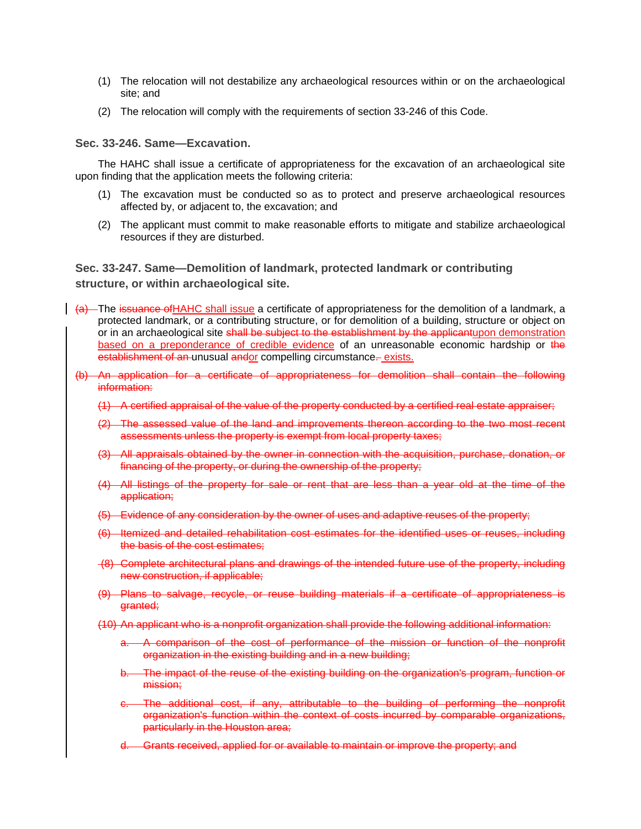- (1) The relocation will not destabilize any archaeological resources within or on the archaeological site; and
- (2) The relocation will comply with the requirements of section 33-246 of this Code.

## **Sec. 33-246. Same—Excavation.**

The HAHC shall issue a certificate of appropriateness for the excavation of an archaeological site upon finding that the application meets the following criteria:

- (1) The excavation must be conducted so as to protect and preserve archaeological resources affected by, or adjacent to, the excavation; and
- (2) The applicant must commit to make reasonable efforts to mitigate and stabilize archaeological resources if they are disturbed.

## **Sec. 33-247. Same—Demolition of landmark, protected landmark or contributing structure, or within archaeological site.**

- (a) The issuance of HAHC shall issue a certificate of appropriateness for the demolition of a landmark, a protected landmark, or a contributing structure, or for demolition of a building, structure or object on or in an archaeological site shall be subject to the establishment by the applicantupon demonstration based on a preponderance of credible evidence of an unreasonable economic hardship or the establishment of an unusual andor compelling circumstance- exists.
- (b) An application for a certificate of appropriateness for demolition shall contain the following information:
	- (1) A certified appraisal of the value of the property conducted by a certified real estate appraiser;
	- (2) The assessed value of the land and improvements thereon according to the two most recent assessments unless the property is exempt from local property taxes;
	- (3) All appraisals obtained by the owner in connection with the acquisition, purchase, donation, or financing of the property, or during the ownership of the property;
	- (4) All listings of the property for sale or rent that are less than a year old at the time of the application;
	- (5) Evidence of any consideration by the owner of uses and adaptive reuses of the property;
	- (6) Itemized and detailed rehabilitation cost estimates for the identified uses or reuses, including the basis of the cost estimates;
	- (8) Complete architectural plans and drawings of the intended future use of the property, including new construction, if applicable;
	- (9) Plans to salvage, recycle, or reuse building materials if a certificate of appropriateness is granted;
	- (10) An applicant who is a nonprofit organization shall provide the following additional information:
		- a. A comparison of the cost of performance of the mission or function of the nonprofit organization in the existing building and in a new building;
		- b. The impact of the reuse of the existing building on the organization's program, function or mission;
		- c. The additional cost, if any, attributable to the building of performing the nonprofit organization's function within the context of costs incurred by comparable organizations, particularly in the Houston area;
		- d. Grants received, applied for or available to maintain or improve the property; and